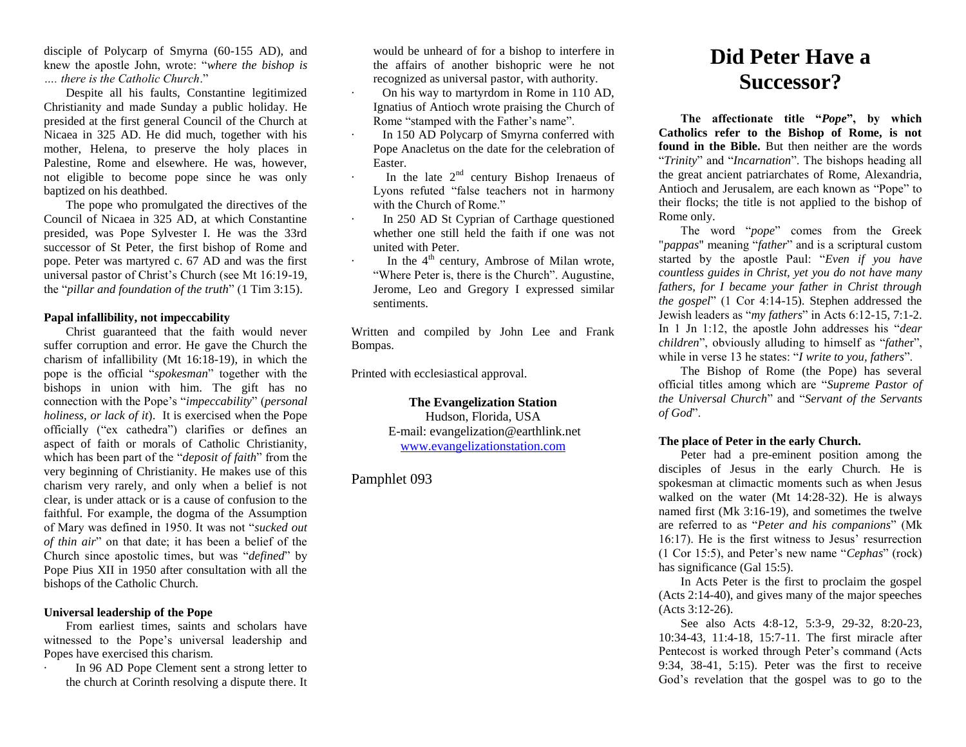disciple of Polycarp of Smyrna (60-155 AD), and knew the apostle John, wrote: "*where the bishop is …. there is the Catholic Church*."

Despite all his faults, Constantine legitimized Christianity and made Sunday a public holiday. He presided at the first general Council of the Church at Nicaea in 325 AD. He did much, together with his mother, Helena, to preserve the holy places in Palestine, Rome and elsewhere. He was, however, not eligible to become pope since he was only baptized on his deathbed.

The pope who promulgated the directives of the Council of Nicaea in 325 AD, at which Constantine presided, was Pope Sylvester I. He was the 33rd successor of St Peter, the first bishop of Rome and pope. Peter was martyred c. 67 AD and was the first universal pastor of Christ's Church (see Mt 16:19-19, the "*pillar and foundation of the truth*" (1 Tim 3:15).

# **Papal infallibility, not impeccability**

Christ guaranteed that the faith would never suffer corruption and error. He gave the Church the charism of infallibility (Mt 16:18-19), in which the pope is the official "*spokesman*" together with the bishops in union with him. The gift has no connection with the Pope's "*impeccability*" (*personal holiness, or lack of it*). It is exercised when the Pope officially ("ex cathedra") clarifies or defines an aspect of faith or morals of Catholic Christianity, which has been part of the "*deposit of faith*" from the very beginning of Christianity. He makes use of this charism very rarely, and only when a belief is not clear, is under attack or is a cause of confusion to the faithful. For example, the dogma of the Assumption of Mary was defined in 1950. It was not "*sucked out of thin air*" on that date; it has been a belief of the Church since apostolic times, but was "*defined*" by Pope Pius XII in 1950 after consultation with all the bishops of the Catholic Church.

# **Universal leadership of the Pope**

From earliest times, saints and scholars have witnessed to the Pope's universal leadership and Popes have exercised this charism.

In 96 AD Pope Clement sent a strong letter to the church at Corinth resolving a dispute there. It

would be unheard of for a bishop to interfere in the affairs of another bishopric were he not recognized as universal pastor, with authority.

- · On his way to martyrdom in Rome in 110 AD, Ignatius of Antioch wrote praising the Church of Rome "stamped with the Father's name".
- In 150 AD Polycarp of Smyrna conferred with Pope Anacletus on the date for the celebration of Easter.
- $\cdot$  In the late  $2<sup>nd</sup>$  century Bishop Irenaeus of Lyons refuted "false teachers not in harmony with the Church of Rome."
- · In 250 AD St Cyprian of Carthage questioned whether one still held the faith if one was not united with Peter.
- $\cdot$  In the 4<sup>th</sup> century, Ambrose of Milan wrote, "Where Peter is, there is the Church". Augustine, Jerome, Leo and Gregory I expressed similar sentiments.

Written and compiled by John Lee and Frank Bompas.

Printed with ecclesiastical approval.

# **The Evangelization Station**

Hudson, Florida, USA E-mail: evangelization@earthlink.net [www.evangelizationstation.com](http://www.pjpiisoe.org/)

Pamphlet 093

# **Did Peter Have a Successor?**

**The affectionate title "***Pope***", by which Catholics refer to the Bishop of Rome, is not found in the Bible.** But then neither are the words "*Trinity*" and "*Incarnation*". The bishops heading all the great ancient patriarchates of Rome, Alexandria, Antioch and Jerusalem, are each known as "Pope" to their flocks; the title is not applied to the bishop of Rome only.

The word "*pope*" comes from the Greek "*pappas*" meaning "*father*" and is a scriptural custom started by the apostle Paul: "*Even if you have countless guides in Christ, yet you do not have many fathers, for I became your father in Christ through the gospel*" (1 Cor 4:14-15). Stephen addressed the Jewish leaders as "*my fathers*" in Acts 6:12-15, 7:1-2. In 1 Jn 1:12, the apostle John addresses his "*dear children*", obviously alluding to himself as "*fathe*r", while in verse 13 he states: "*I write to you, fathers*".

The Bishop of Rome (the Pope) has several official titles among which are "*Supreme Pastor of the Universal Church*" and "*Servant of the Servants of God*".

# **The place of Peter in the early Church.**

Peter had a pre-eminent position among the disciples of Jesus in the early Church. He is spokesman at climactic moments such as when Jesus walked on the water (Mt 14:28-32). He is always named first (Mk 3:16-19), and sometimes the twelve are referred to as "*Peter and his companions*" (Mk 16:17). He is the first witness to Jesus' resurrection (1 Cor 15:5), and Peter's new name "*Cephas*" (rock) has significance (Gal 15:5).

In Acts Peter is the first to proclaim the gospel (Acts 2:14-40), and gives many of the major speeches (Acts 3:12-26).

See also Acts 4:8-12, 5:3-9, 29-32, 8:20-23, 10:34-43, 11:4-18, 15:7-11. The first miracle after Pentecost is worked through Peter's command (Acts 9:34, 38-41, 5:15). Peter was the first to receive God's revelation that the gospel was to go to the